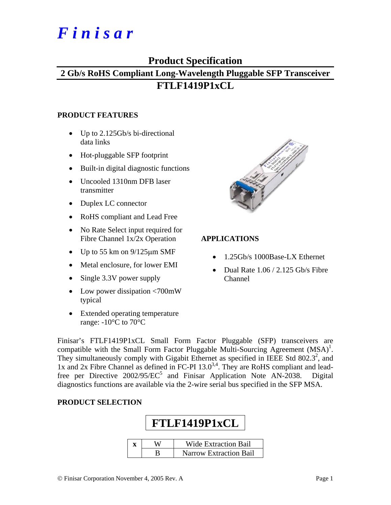# *F i n i s a r*

## **Product Specification**

# **2 Gb/s RoHS Compliant Long-Wavelength Pluggable SFP Transceiver FTLF1419P1xCL**

#### **PRODUCT FEATURES**

- Up to 2.125Gb/s bi-directional data links
- Hot-pluggable SFP footprint
- Built-in digital diagnostic functions
- Uncooled 1310nm DFB laser transmitter
- Duplex LC connector
- RoHS compliant and Lead Free
- No Rate Select input required for Fibre Channel 1x/2x Operation
- Up to 55 km on  $9/125 \mu m$  SMF
- Metal enclosure, for lower EMI
- Single 3.3V power supply
- Low power dissipation <700mW typical
- Extended operating temperature range:  $-10^{\circ}$ C to  $70^{\circ}$ C



#### **APPLICATIONS**

- 1.25Gb/s 1000Base-LX Ethernet
- Dual Rate 1.06 / 2.125 Gb/s Fibre Channel

Finisar's FTLF1419P1xCL Small Form Factor Pluggable (SFP) transceivers are compatible with the Small Form Factor Pluggable Multi-Sourcing Agreement  $(MSA)^{1}$ . They simultaneously comply with Gigabit Ethernet as specified in IEEE Std  $802.3^2$ , and 1x and 2x Fibre Channel as defined in FC-PI  $13.0^{3,4}$ . They are RoHS compliant and leadfree per Directive  $2002/95/EC^5$  and Finisar Application Note AN-2038. Digital diagnostics functions are available via the 2-wire serial bus specified in the SFP MSA.

#### **PRODUCT SELECTION**

# **FTLF1419P1xCL x** | W | Wide Extraction Bail B Narrow Extraction Bail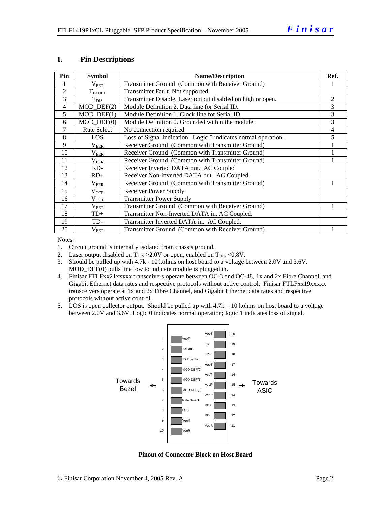#### **I. Pin Descriptions**

| Pin            | <b>Symbol</b>     | <b>Name/Description</b>                                        | Ref. |
|----------------|-------------------|----------------------------------------------------------------|------|
|                | $\rm V_{EET}$     | Transmitter Ground (Common with Receiver Ground)               |      |
| $\overline{2}$ | $T_{FAULT}$       | Transmitter Fault. Not supported.                              |      |
| 3              | $T_{\text{DIS}}$  | Transmitter Disable. Laser output disabled on high or open.    | 2    |
| 4              | $MOD_$ DEF $(2)$  | Module Definition 2. Data line for Serial ID.                  | 3    |
| 5              | $MOD$ $DEF(1)$    | Module Definition 1. Clock line for Serial ID.                 | 3    |
| 6              | $MOD$ $DEF(0)$    | Module Definition 0. Grounded within the module.               | 3    |
| 7              | Rate Select       | No connection required                                         | 4    |
| 8              | LOS               | Loss of Signal indication. Logic 0 indicates normal operation. | 5    |
| 9              | $\rm V_{EER}$     | Receiver Ground (Common with Transmitter Ground)               |      |
| 10             | $\rm V_{EER}$     | Receiver Ground (Common with Transmitter Ground)               |      |
| 11             | $\rm V_{EER}$     | Receiver Ground (Common with Transmitter Ground)               |      |
| 12             | RD-               | Receiver Inverted DATA out. AC Coupled                         |      |
| 13             | $RD+$             | Receiver Non-inverted DATA out. AC Coupled                     |      |
| 14             | $\rm V_{EER}$     | Receiver Ground (Common with Transmitter Ground)               |      |
| 15             | $V_{CCR}$         | Receiver Power Supply                                          |      |
| 16             | $V_{\rm CCT}$     | <b>Transmitter Power Supply</b>                                |      |
| 17             | $\rm V_{\rm EET}$ | Transmitter Ground (Common with Receiver Ground)               |      |
| 18             | $TD+$             | Transmitter Non-Inverted DATA in. AC Coupled.                  |      |
| 19             | TD-               | Transmitter Inverted DATA in. AC Coupled.                      |      |
| 20             | $\rm V_{EET}$     | Transmitter Ground (Common with Receiver Ground)               |      |

Notes:

1. Circuit ground is internally isolated from chassis ground.

2. Laser output disabled on  $T_{DIS} > 2.0V$  or open, enabled on  $T_{DIS} < 0.8V$ .

3. Should be pulled up with 4.7k - 10 kohms on host board to a voltage between 2.0V and 3.6V. MOD\_DEF(0) pulls line low to indicate module is plugged in.

- 4. Finisar FTLFxx21xxxxx transceivers operate between OC-3 and OC-48, 1x and 2x Fibre Channel, and Gigabit Ethernet data rates and respective protocols without active control. Finisar FTLFxx19xxxxx transceivers operate at 1x and 2x Fibre Channel, and Gigabit Ethernet data rates and respective protocols without active control.
- 5. LOS is open collector output. Should be pulled up with 4.7k 10 kohms on host board to a voltage between 2.0V and 3.6V. Logic 0 indicates normal operation; logic 1 indicates loss of signal.



**Pinout of Connector Block on Host Board**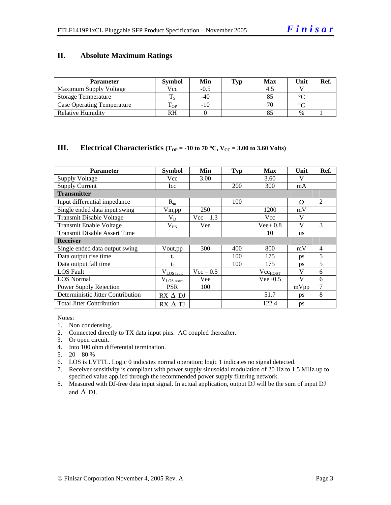#### **II. Absolute Maximum Ratings**

| <b>Parameter</b>                  | <b>Symbol</b> | Min   | Typ | <b>Max</b> | Unit          | Ref. |
|-----------------------------------|---------------|-------|-----|------------|---------------|------|
| Maximum Supply Voltage            | Vcc           | -0.5  |     |            |               |      |
| <b>Storage Temperature</b>        |               | $-40$ |     |            | $\sim$        |      |
| <b>Case Operating Temperature</b> | - OP          | $-10$ |     |            | $\sim$        |      |
| Relative Humidity                 | RH            |       |     |            | $\frac{0}{0}$ |      |

#### **III.** Electrical Characteristics ( $T_{OP}$  = -10 to 70 °C,  $V_{CC}$  = 3.00 to 3.60 Volts)

| <b>Parameter</b>                    | <b>Symbol</b>    | Min         | <b>Typ</b> | <b>Max</b>   | Unit      | Ref.           |
|-------------------------------------|------------------|-------------|------------|--------------|-----------|----------------|
| <b>Supply Voltage</b>               | Vcc              | 3.00        |            | 3.60         | V         |                |
| <b>Supply Current</b>               | <b>Icc</b>       |             | 200        | 300          | mA        |                |
| <b>Transmitter</b>                  |                  |             |            |              |           |                |
| Input differential impedance        | $R_{in}$         |             | 100        |              | Ω         | 2              |
| Single ended data input swing       | Vin, pp          | 250         |            | 1200         | mV        |                |
| <b>Transmit Disable Voltage</b>     | $\rm V_{D}$      | $Vec - 1.3$ |            | <b>Vcc</b>   | V         |                |
| <b>Transmit Enable Voltage</b>      | $V_{EN}$         | Vee         |            | $Vee+0.8$    | V         | 3              |
| <b>Transmit Disable Assert Time</b> |                  |             |            | 10           | <b>us</b> |                |
| <b>Receiver</b>                     |                  |             |            |              |           |                |
| Single ended data output swing      | Vout,pp          | 300         | 400        | 800          | mV        | $\overline{4}$ |
| Data output rise time               | $t_{\rm r}$      |             | 100        | 175          | <b>ps</b> | 5              |
| Data output fall time               | $t_{\rm f}$      |             | 100        | 175          | ps        | 5              |
| <b>LOS</b> Fault                    | $V_{LOS\_fault}$ | $Vec - 0.5$ |            | $Vec_{HOST}$ | V         | 6              |
| <b>LOS Normal</b>                   | $V_{LOS\_norm}$  | Vee         |            | $Vee+0.5$    | V         | 6              |
| Power Supply Rejection              | <b>PSR</b>       | 100         |            |              | mVpp      | $\overline{7}$ |
| Deterministic Jitter Contribution   | $RX \Delta DI$   |             |            | 51.7         | ps        | 8              |
| <b>Total Jitter Contribution</b>    | $RX \Delta TI$   |             |            | 122.4        | ps        |                |

Notes:

- 1. Non condensing.
- 2. Connected directly to TX data input pins. AC coupled thereafter.
- 3. Or open circuit.
- 4. Into 100 ohm differential termination.
- 5.  $20 80 %$
- 6. LOS is LVTTL. Logic 0 indicates normal operation; logic 1 indicates no signal detected.
- 7. Receiver sensitivity is compliant with power supply sinusoidal modulation of 20 Hz to 1.5 MHz up to specified value applied through the recommended power supply filtering network.
- 8. Measured with DJ-free data input signal. In actual application, output DJ will be the sum of input DJ and  $\Delta$  DJ.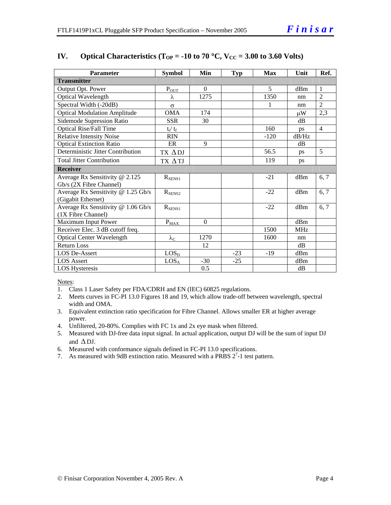| <b>Parameter</b>                    | <b>Symbol</b>     | Min      | <b>Typ</b> | <b>Max</b> | Unit       | Ref.           |
|-------------------------------------|-------------------|----------|------------|------------|------------|----------------|
| <b>Transmitter</b>                  |                   |          |            |            |            |                |
| Output Opt. Power                   | $P_{OUT}$         | $\Omega$ |            | 5          | dBm        | $\overline{1}$ |
| Optical Wavelength                  | λ                 | 1275     |            | 1350       | nm         | $\overline{2}$ |
| Spectral Width (-20dB)              | $\sigma$          |          |            | 1          | nm         | $\overline{2}$ |
| <b>Optical Modulation Amplitude</b> | <b>OMA</b>        | 174      |            |            | μW         | 2,3            |
| <b>Sidemode Supression Ratio</b>    | <b>SSR</b>        | 30       |            |            | dB         |                |
| <b>Optical Rise/Fall Time</b>       | $t_r / t_f$       |          |            | 160        | ps         | $\overline{4}$ |
| <b>Relative Intensity Noise</b>     | <b>RIN</b>        |          |            | $-120$     | dB/Hz      |                |
| <b>Optical Extinction Ratio</b>     | ER                | 9        |            |            | dB         |                |
| Deterministic Jitter Contribution   | TX ADJ            |          |            | 56.5       | ps         | 5              |
| <b>Total Jitter Contribution</b>    | TX ATJ            |          |            | 119        | ps         |                |
| <b>Receiver</b>                     |                   |          |            |            |            |                |
| Average Rx Sensitivity @ 2.125      | $R_{SENS1}$       |          |            | $-21$      | dBm        | 6, 7           |
| Gb/s (2X Fibre Channel)             |                   |          |            |            |            |                |
| Average Rx Sensitivity @ 1.25 Gb/s  | $R_{\rm SENS2}$   |          |            | $-22$      | dBm        | 6, 7           |
| (Gigabit Ethernet)                  |                   |          |            |            |            |                |
| Average Rx Sensitivity @ 1.06 Gb/s  | $R_{SENS1}$       |          |            | $-22$      | dBm        | 6, 7           |
| (1X Fibre Channel)                  |                   |          |            |            |            |                |
| Maximum Input Power                 | $P_{MAX}$         | $\Omega$ |            |            | dBm        |                |
| Receiver Elec. 3 dB cutoff freq.    |                   |          |            | 1500       | <b>MHz</b> |                |
| <b>Optical Center Wavelength</b>    | $\lambda_{\rm C}$ | 1270     |            | 1600       | nm         |                |
| <b>Return Loss</b>                  |                   | 12       |            |            | dB         |                |
| <b>LOS De-Assert</b>                | LOS <sub>D</sub>  |          | $-23$      | $-19$      | dBm        |                |
| <b>LOS</b> Assert                   | LOS <sub>A</sub>  | $-30$    | $-25$      |            | dBm        |                |
| <b>LOS</b> Hysteresis               |                   | 0.5      |            |            | dB         |                |

#### **IV.** Optical Characteristics ( $T_{OP} = -10$  to 70 °C,  $V_{CC} = 3.00$  to 3.60 Volts)

Notes:

- 1. Class 1 Laser Safety per FDA/CDRH and EN (IEC) 60825 regulations.
- 2. Meets curves in FC-PI 13.0 Figures 18 and 19, which allow trade-off between wavelength, spectral width and OMA.
- 3. Equivalent extinction ratio specification for Fibre Channel. Allows smaller ER at higher average power.
- 4. Unfiltered, 20-80%. Complies with FC 1x and 2x eye mask when filtered.
- 5. Measured with DJ-free data input signal. In actual application, output DJ will be the sum of input DJ and  $\triangle$  DJ.
- 6. Measured with conformance signals defined in FC-PI 13.0 specifications.
- 7. As measured with 9dB extinction ratio. Measured with a PRBS  $2^7$ -1 test pattern.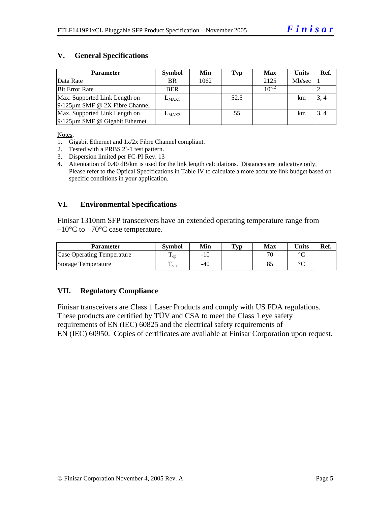#### **V. General Specifications**

| <b>Parameter</b>                     | <b>Symbol</b> | Min  | Typ  | <b>Max</b> | <b>Units</b> | Ref. |
|--------------------------------------|---------------|------|------|------------|--------------|------|
| Data Rate                            | <b>BR</b>     | 1062 |      | 2125       | Mb/sec       |      |
| <b>Bit Error Rate</b>                | <b>BER</b>    |      |      | $10^{-12}$ |              |      |
| Max. Supported Link Length on        | $L_{MAX1}$    |      | 52.5 |            | km           | 3, 4 |
| $9/125 \mu m$ SMF @ 2X Fibre Channel |               |      |      |            |              |      |
| Max. Supported Link Length on        | $L_{MAX2}$    |      | 55   |            | km           | 3, 4 |
| $9/125 \mu m$ SMF @ Gigabit Ethernet |               |      |      |            |              |      |

Notes:

- 1. Gigabit Ethernet and 1x/2x Fibre Channel compliant.
- 2. Tested with a PRBS  $2^7$ -1 test pattern.
- 3. Dispersion limited per FC-PI Rev. 13

4. Attenuation of 0.40 dB/km is used for the link length calculations. Distances are indicative only. Please refer to the Optical Specifications in Table IV to calculate a more accurate link budget based on specific conditions in your application.

#### **VI. Environmental Specifications**

Finisar 1310nm SFP transceivers have an extended operating temperature range from  $-10^{\circ}$ C to  $+70^{\circ}$ C case temperature.

| <b>Parameter</b>                  | Svmbol            | Min   | $\mathbf{T}_{\mathbf{V}\mathbf{p}}$ | Max | Units   | Ref. |
|-----------------------------------|-------------------|-------|-------------------------------------|-----|---------|------|
| <b>Case Operating Temperature</b> | $\mathbf{L}_{OD}$ | $-10$ |                                     | 70  | $\circ$ |      |
| Storage Temperature               | ᠇᠇<br>$\pm$ sto   | -40   |                                     | Ō.  | $\sim$  |      |

#### **VII. Regulatory Compliance**

Finisar transceivers are Class 1 Laser Products and comply with US FDA regulations. These products are certified by TÜV and CSA to meet the Class 1 eye safety requirements of EN (IEC) 60825 and the electrical safety requirements of EN (IEC) 60950. Copies of certificates are available at Finisar Corporation upon request.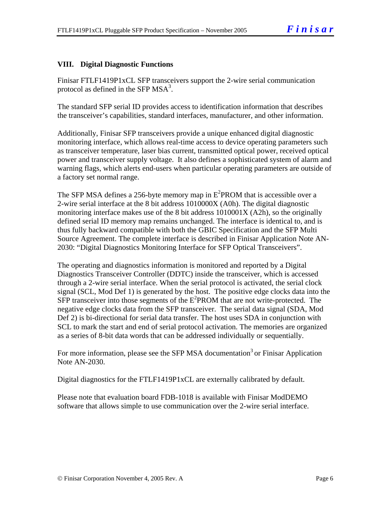#### **VIII. Digital Diagnostic Functions**

Finisar FTLF1419P1xCL SFP transceivers support the 2-wire serial communication protocol as defined in the SFP  $MSA<sup>3</sup>$ .

The standard SFP serial ID provides access to identification information that describes the transceiver's capabilities, standard interfaces, manufacturer, and other information.

Additionally, Finisar SFP transceivers provide a unique enhanced digital diagnostic monitoring interface, which allows real-time access to device operating parameters such as transceiver temperature, laser bias current, transmitted optical power, received optical power and transceiver supply voltage. It also defines a sophisticated system of alarm and warning flags, which alerts end-users when particular operating parameters are outside of a factory set normal range.

The SFP MSA defines a 256-byte memory map in  $E^2$ PROM that is accessible over a 2-wire serial interface at the 8 bit address 1010000X (A0h). The digital diagnostic monitoring interface makes use of the 8 bit address 1010001X (A2h), so the originally defined serial ID memory map remains unchanged. The interface is identical to, and is thus fully backward compatible with both the GBIC Specification and the SFP Multi Source Agreement. The complete interface is described in Finisar Application Note AN-2030: "Digital Diagnostics Monitoring Interface for SFP Optical Transceivers".

The operating and diagnostics information is monitored and reported by a Digital Diagnostics Transceiver Controller (DDTC) inside the transceiver, which is accessed through a 2-wire serial interface. When the serial protocol is activated, the serial clock signal (SCL, Mod Def 1) is generated by the host. The positive edge clocks data into the  $SFP$  transceiver into those segments of the  $E^2$ PROM that are not write-protected. The negative edge clocks data from the SFP transceiver. The serial data signal (SDA, Mod Def 2) is bi-directional for serial data transfer. The host uses SDA in conjunction with SCL to mark the start and end of serial protocol activation. The memories are organized as a series of 8-bit data words that can be addressed individually or sequentially.

For more information, please see the SFP MSA documentation<sup>3</sup> or Finisar Application Note AN-2030.

Digital diagnostics for the FTLF1419P1xCL are externally calibrated by default.

Please note that evaluation board FDB-1018 is available with Finisar ModDEMO software that allows simple to use communication over the 2-wire serial interface.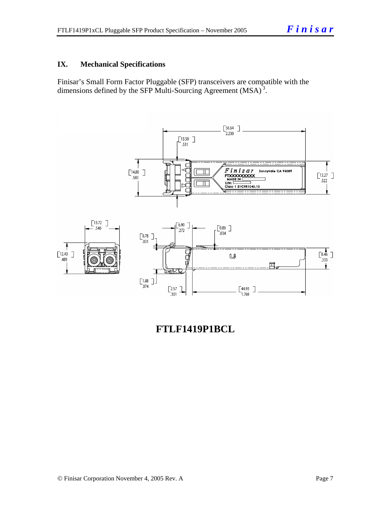#### **IX. Mechanical Specifications**

Finisar's Small Form Factor Pluggable (SFP) transceivers are compatible with the dimensions defined by the SFP Multi-Sourcing Agreement (MSA)<sup>3</sup>.



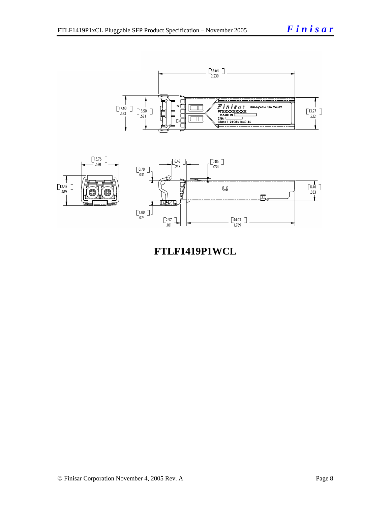



**FTLF1419P1WCL**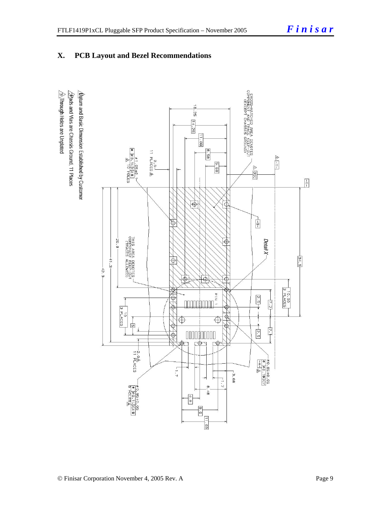### **X. PCB Layout and Bezel Recommendations**

 $\hat{\triangle}$ Through Holes are Unplated  $\Delta$  for and Basic Dimension Established by Customer  $\frac{1}{2}$ Rads and Vias are Chassis Ground, 11 Places

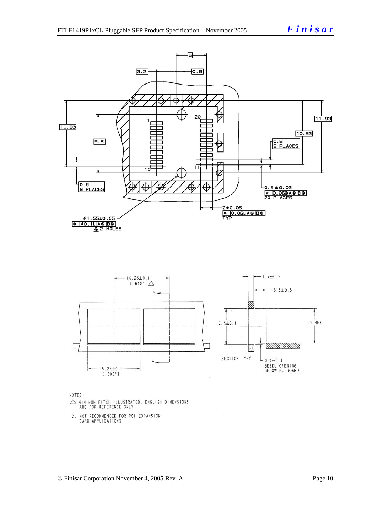





- $\triangle$  MINIMUM PITCH ILLUSTRATED, ENGLISH DIMENSIONS ARE FOR REFERENCE ONLY
- 2. NOT RECOMMENDED FOR PCI EXPANSION CARD APPLICATIONS